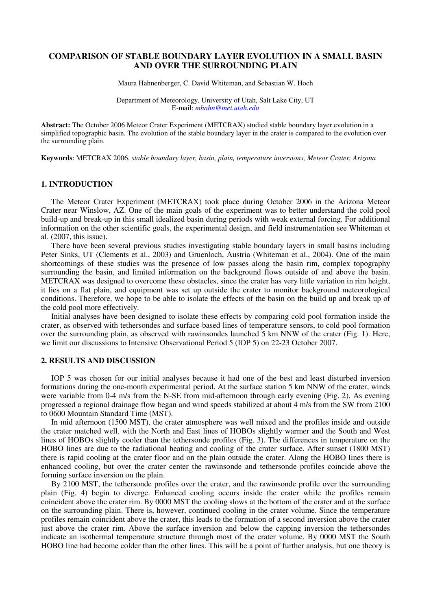## **COMPARISON OF STABLE BOUNDARY LAYER EVOLUTION IN A SMALL BASIN AND OVER THE SURROUNDING PLAIN**

Maura Hahnenberger, C. David Whiteman, and Sebastian W. Hoch

Department of Meteorology, University of Utah, Salt Lake City, UT E-mail: *mhahn@met.utah.edu*

**Abstract:** The October 2006 Meteor Crater Experiment (METCRAX) studied stable boundary layer evolution in a simplified topographic basin. The evolution of the stable boundary layer in the crater is compared to the evolution over the surrounding plain.

**Keywords**: METCRAX 2006, *stable boundary layer, basin, plain, temperature inversions, Meteor Crater, Arizona* 

#### **1. INTRODUCTION**

The Meteor Crater Experiment (METCRAX) took place during October 2006 in the Arizona Meteor Crater near Winslow, AZ. One of the main goals of the experiment was to better understand the cold pool build-up and break-up in this small idealized basin during periods with weak external forcing. For additional information on the other scientific goals, the experimental design, and field instrumentation see Whiteman et al. (2007, this issue).

There have been several previous studies investigating stable boundary layers in small basins including Peter Sinks, UT (Clements et al., 2003) and Gruenloch, Austria (Whiteman et al., 2004). One of the main shortcomings of these studies was the presence of low passes along the basin rim, complex topography surrounding the basin, and limited information on the background flows outside of and above the basin. METCRAX was designed to overcome these obstacles, since the crater has very little variation in rim height, it lies on a flat plain, and equipment was set up outside the crater to monitor background meteorological conditions. Therefore, we hope to be able to isolate the effects of the basin on the build up and break up of the cold pool more effectively.

Initial analyses have been designed to isolate these effects by comparing cold pool formation inside the crater, as observed with tethersondes and surface-based lines of temperature sensors, to cold pool formation over the surrounding plain, as observed with rawinsondes launched 5 km NNW of the crater (Fig. 1). Here, we limit our discussions to Intensive Observational Period 5 (IOP 5) on 22-23 October 2007.

### **2. RESULTS AND DISCUSSION**

IOP 5 was chosen for our initial analyses because it had one of the best and least disturbed inversion formations during the one-month experimental period. At the surface station 5 km NNW of the crater, winds were variable from 0-4 m/s from the N-SE from mid-afternoon through early evening (Fig. 2). As evening progressed a regional drainage flow began and wind speeds stabilized at about 4 m/s from the SW from 2100 to 0600 Mountain Standard Time (MST).

In mid afternoon (1500 MST), the crater atmosphere was well mixed and the profiles inside and outside the crater matched well, with the North and East lines of HOBOs slightly warmer and the South and West lines of HOBOs slightly cooler than the tethersonde profiles (Fig. 3). The differences in temperature on the HOBO lines are due to the radiational heating and cooling of the crater surface. After sunset (1800 MST) there is rapid cooling at the crater floor and on the plain outside the crater. Along the HOBO lines there is enhanced cooling, but over the crater center the rawinsonde and tethersonde profiles coincide above the forming surface inversion on the plain.

By 2100 MST, the tethersonde profiles over the crater, and the rawinsonde profile over the surrounding plain (Fig. 4) begin to diverge. Enhanced cooling occurs inside the crater while the profiles remain coincident above the crater rim. By 0000 MST the cooling slows at the bottom of the crater and at the surface on the surrounding plain. There is, however, continued cooling in the crater volume. Since the temperature profiles remain coincident above the crater, this leads to the formation of a second inversion above the crater just above the crater rim. Above the surface inversion and below the capping inversion the tethersondes indicate an isothermal temperature structure through most of the crater volume. By 0000 MST the South HOBO line had become colder than the other lines. This will be a point of further analysis, but one theory is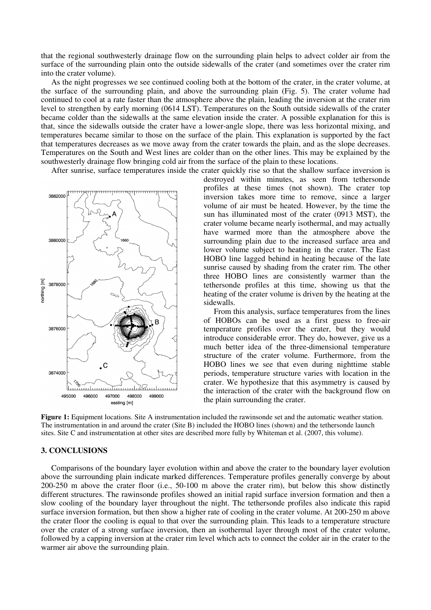that the regional southwesterly drainage flow on the surrounding plain helps to advect colder air from the surface of the surrounding plain onto the outside sidewalls of the crater (and sometimes over the crater rim into the crater volume).

As the night progresses we see continued cooling both at the bottom of the crater, in the crater volume, at the surface of the surrounding plain, and above the surrounding plain (Fig. 5). The crater volume had continued to cool at a rate faster than the atmosphere above the plain, leading the inversion at the crater rim level to strengthen by early morning (0614 LST). Temperatures on the South outside sidewalls of the crater became colder than the sidewalls at the same elevation inside the crater. A possible explanation for this is that, since the sidewalls outside the crater have a lower-angle slope, there was less horizontal mixing, and temperatures became similar to those on the surface of the plain. This explanation is supported by the fact that temperatures decreases as we move away from the crater towards the plain, and as the slope decreases. Temperatures on the South and West lines are colder than on the other lines. This may be explained by the southwesterly drainage flow bringing cold air from the surface of the plain to these locations.

After sunrise, surface temperatures inside the crater quickly rise so that the shallow surface inversion is



destroyed within minutes, as seen from tethersonde profiles at these times (not shown). The crater top inversion takes more time to remove, since a larger volume of air must be heated. However, by the time the sun has illuminated most of the crater (0913 MST), the crater volume became nearly isothermal, and may actually have warmed more than the atmosphere above the surrounding plain due to the increased surface area and lower volume subject to heating in the crater. The East HOBO line lagged behind in heating because of the late sunrise caused by shading from the crater rim. The other three HOBO lines are consistently warmer than the tethersonde profiles at this time, showing us that the heating of the crater volume is driven by the heating at the sidewalls.

From this analysis, surface temperatures from the lines of HOBOs can be used as a first guess to free-air temperature profiles over the crater, but they would introduce considerable error. They do, however, give us a much better idea of the three-dimensional temperature structure of the crater volume. Furthermore, from the HOBO lines we see that even during nighttime stable periods, temperature structure varies with location in the crater. We hypothesize that this asymmetry is caused by the interaction of the crater with the background flow on the plain surrounding the crater.

**Figure 1:** Equipment locations. Site A instrumentation included the rawinsonde set and the automatic weather station. The instrumentation in and around the crater (Site B) included the HOBO lines (shown) and the tethersonde launch sites. Site C and instrumentation at other sites are described more fully by Whiteman et al. (2007, this volume).

#### **3. CONCLUSIONS**

Comparisons of the boundary layer evolution within and above the crater to the boundary layer evolution above the surrounding plain indicate marked differences. Temperature profiles generally converge by about 200-250 m above the crater floor (i.e., 50-100 m above the crater rim), but below this show distinctly different structures. The rawinsonde profiles showed an initial rapid surface inversion formation and then a slow cooling of the boundary layer throughout the night. The tethersonde profiles also indicate this rapid surface inversion formation, but then show a higher rate of cooling in the crater volume. At 200-250 m above the crater floor the cooling is equal to that over the surrounding plain. This leads to a temperature structure over the crater of a strong surface inversion, then an isothermal layer through most of the crater volume, followed by a capping inversion at the crater rim level which acts to connect the colder air in the crater to the warmer air above the surrounding plain.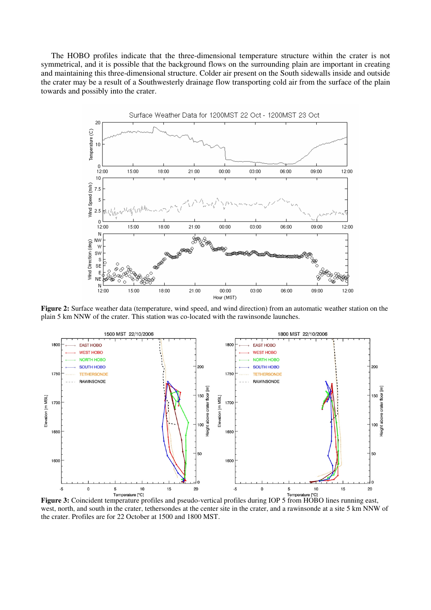The HOBO profiles indicate that the three-dimensional temperature structure within the crater is not symmetrical, and it is possible that the background flows on the surrounding plain are important in creating and maintaining this three-dimensional structure. Colder air present on the South sidewalls inside and outside the crater may be a result of a Southwesterly drainage flow transporting cold air from the surface of the plain towards and possibly into the crater.



**Figure 2:** Surface weather data (temperature, wind speed, and wind direction) from an automatic weather station on the plain 5 km NNW of the crater. This station was co-located with the rawinsonde launches.



**Figure 3:** Coincident temperature profiles and pseudo-vertical profiles during IOP 5 from HOBO lines running east, west, north, and south in the crater, tethersondes at the center site in the crater, and a rawinsonde at a site 5 km NNW of the crater. Profiles are for 22 October at 1500 and 1800 MST.